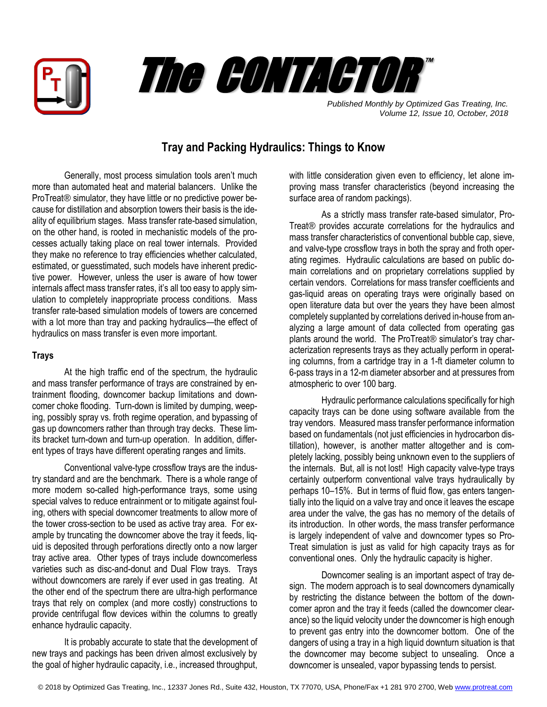



*Published Monthly by Optimized Gas Treating, Inc. Volume 12, Issue 10, October, 2018*

# **Tray and Packing Hydraulics: Things to Know**

Generally, most process simulation tools aren't much more than automated heat and material balancers. Unlike the ProTreat® simulator, they have little or no predictive power because for distillation and absorption towers their basis is the ideality of equilibrium stages. Mass transfer rate-based simulation, on the other hand, is rooted in mechanistic models of the processes actually taking place on real tower internals. Provided they make no reference to tray efficiencies whether calculated, estimated, or guesstimated, such models have inherent predictive power. However, unless the user is aware of how tower internals affect mass transfer rates, it's all too easy to apply simulation to completely inappropriate process conditions. Mass transfer rate-based simulation models of towers are concerned with a lot more than tray and packing hydraulics—the effect of hydraulics on mass transfer is even more important.

#### **Trays**

At the high traffic end of the spectrum, the hydraulic and mass transfer performance of trays are constrained by entrainment flooding, downcomer backup limitations and downcomer choke flooding. Turn-down is limited by dumping, weeping, possibly spray vs. froth regime operation, and bypassing of gas up downcomers rather than through tray decks. These limits bracket turn-down and turn-up operation. In addition, different types of trays have different operating ranges and limits.

Conventional valve-type crossflow trays are the industry standard and are the benchmark. There is a whole range of more modern so-called high-performance trays, some using special valves to reduce entrainment or to mitigate against fouling, others with special downcomer treatments to allow more of the tower cross-section to be used as active tray area. For example by truncating the downcomer above the tray it feeds, liquid is deposited through perforations directly onto a now larger tray active area. Other types of trays include downcomerless varieties such as disc-and-donut and Dual Flow trays. Trays without downcomers are rarely if ever used in gas treating. At the other end of the spectrum there are ultra-high performance trays that rely on complex (and more costly) constructions to provide centrifugal flow devices within the columns to greatly enhance hydraulic capacity.

It is probably accurate to state that the development of new trays and packings has been driven almost exclusively by the goal of higher hydraulic capacity, i.e., increased throughput,

with little consideration given even to efficiency, let alone improving mass transfer characteristics (beyond increasing the surface area of random packings).

As a strictly mass transfer rate-based simulator, Pro-Treat® provides accurate correlations for the hydraulics and mass transfer characteristics of conventional bubble cap, sieve, and valve-type crossflow trays in both the spray and froth operating regimes. Hydraulic calculations are based on public domain correlations and on proprietary correlations supplied by certain vendors. Correlations for mass transfer coefficients and gas-liquid areas on operating trays were originally based on open literature data but over the years they have been almost completely supplanted by correlations derived in-house from analyzing a large amount of data collected from operating gas plants around the world. The ProTreat® simulator's tray characterization represents trays as they actually perform in operating columns, from a cartridge tray in a 1-ft diameter column to 6-pass trays in a 12-m diameter absorber and at pressures from atmospheric to over 100 barg.

Hydraulic performance calculations specifically for high capacity trays can be done using software available from the tray vendors. Measured mass transfer performance information based on fundamentals (not just efficiencies in hydrocarbon distillation), however, is another matter altogether and is completely lacking, possibly being unknown even to the suppliers of the internals. But, all is not lost! High capacity valve-type trays certainly outperform conventional valve trays hydraulically by perhaps 10–15%. But in terms of fluid flow, gas enters tangentially into the liquid on a valve tray and once it leaves the escape area under the valve, the gas has no memory of the details of its introduction. In other words, the mass transfer performance is largely independent of valve and downcomer types so Pro-Treat simulation is just as valid for high capacity trays as for conventional ones. Only the hydraulic capacity is higher.

Downcomer sealing is an important aspect of tray design. The modern approach is to seal downcomers dynamically by restricting the distance between the bottom of the downcomer apron and the tray it feeds (called the downcomer clearance) so the liquid velocity under the downcomer is high enough to prevent gas entry into the downcomer bottom. One of the dangers of using a tray in a high liquid downturn situation is that the downcomer may become subject to unsealing. Once a downcomer is unsealed, vapor bypassing tends to persist.